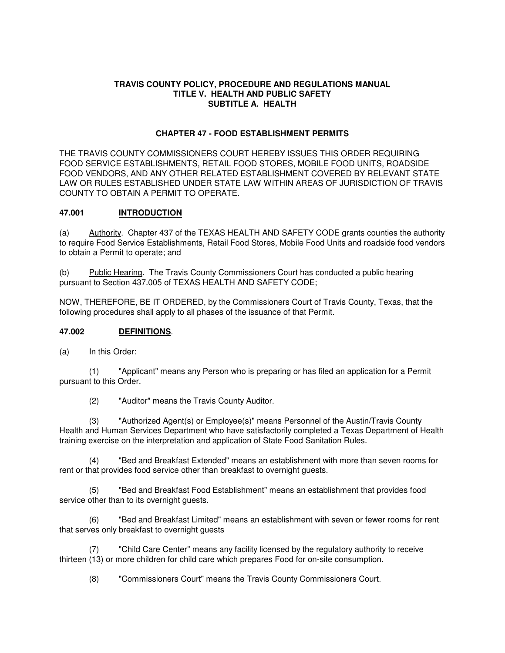#### **TRAVIS COUNTY POLICY, PROCEDURE AND REGULATIONS MANUAL TITLE V. HEALTH AND PUBLIC SAFETY SUBTITLE A. HEALTH**

## **CHAPTER 47 - FOOD ESTABLISHMENT PERMITS**

THE TRAVIS COUNTY COMMISSIONERS COURT HEREBY ISSUES THIS ORDER REQUIRING FOOD SERVICE ESTABLISHMENTS, RETAIL FOOD STORES, MOBILE FOOD UNITS, ROADSIDE FOOD VENDORS, AND ANY OTHER RELATED ESTABLISHMENT COVERED BY RELEVANT STATE LAW OR RULES ESTABLISHED UNDER STATE LAW WITHIN AREAS OF JURISDICTION OF TRAVIS COUNTY TO OBTAIN A PERMIT TO OPERATE.

#### **47.001 INTRODUCTION**

(a) Authority. Chapter 437 of the TEXAS HEALTH AND SAFETY CODE grants counties the authority to require Food Service Establishments, Retail Food Stores, Mobile Food Units and roadside food vendors to obtain a Permit to operate; and

(b) Public Hearing. The Travis County Commissioners Court has conducted a public hearing pursuant to Section 437.005 of TEXAS HEALTH AND SAFETY CODE;

NOW, THEREFORE, BE IT ORDERED, by the Commissioners Court of Travis County, Texas, that the following procedures shall apply to all phases of the issuance of that Permit.

#### **47.002 DEFINITIONS**.

(a) In this Order:

 (1) "Applicant" means any Person who is preparing or has filed an application for a Permit pursuant to this Order.

(2) "Auditor" means the Travis County Auditor.

 (3) "Authorized Agent(s) or Employee(s)" means Personnel of the Austin/Travis County Health and Human Services Department who have satisfactorily completed a Texas Department of Health training exercise on the interpretation and application of State Food Sanitation Rules.

 (4) "Bed and Breakfast Extended" means an establishment with more than seven rooms for rent or that provides food service other than breakfast to overnight guests.

 (5) "Bed and Breakfast Food Establishment" means an establishment that provides food service other than to its overnight guests.

"Bed and Breakfast Limited" means an establishment with seven or fewer rooms for rent that serves only breakfast to overnight guests

 (7) "Child Care Center" means any facility licensed by the regulatory authority to receive thirteen (13) or more children for child care which prepares Food for on-site consumption.

(8) "Commissioners Court" means the Travis County Commissioners Court.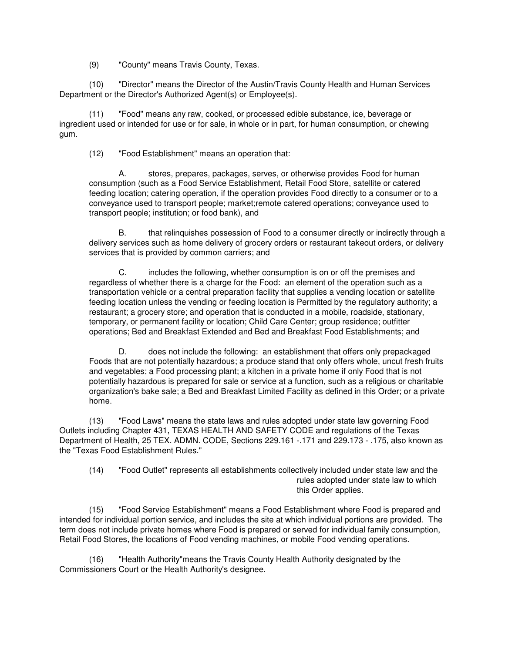(9) "County" means Travis County, Texas.

 (10) "Director" means the Director of the Austin/Travis County Health and Human Services Department or the Director's Authorized Agent(s) or Employee(s).

 (11) "Food" means any raw, cooked, or processed edible substance, ice, beverage or ingredient used or intended for use or for sale, in whole or in part, for human consumption, or chewing gum.

(12) "Food Establishment" means an operation that:

 A. stores, prepares, packages, serves, or otherwise provides Food for human consumption (such as a Food Service Establishment, Retail Food Store, satellite or catered feeding location; catering operation, if the operation provides Food directly to a consumer or to a conveyance used to transport people; market;remote catered operations; conveyance used to transport people; institution; or food bank), and

 B. that relinquishes possession of Food to a consumer directly or indirectly through a delivery services such as home delivery of grocery orders or restaurant takeout orders, or delivery services that is provided by common carriers; and

C. includes the following, whether consumption is on or off the premises and regardless of whether there is a charge for the Food: an element of the operation such as a transportation vehicle or a central preparation facility that supplies a vending location or satellite feeding location unless the vending or feeding location is Permitted by the regulatory authority; a restaurant; a grocery store; and operation that is conducted in a mobile, roadside, stationary, temporary, or permanent facility or location; Child Care Center; group residence; outfitter operations; Bed and Breakfast Extended and Bed and Breakfast Food Establishments; and

 D. does not include the following: an establishment that offers only prepackaged Foods that are not potentially hazardous; a produce stand that only offers whole, uncut fresh fruits and vegetables; a Food processing plant; a kitchen in a private home if only Food that is not potentially hazardous is prepared for sale or service at a function, such as a religious or charitable organization's bake sale; a Bed and Breakfast Limited Facility as defined in this Order; or a private home.

 (13) "Food Laws" means the state laws and rules adopted under state law governing Food Outlets including Chapter 431, TEXAS HEALTH AND SAFETY CODE and regulations of the Texas Department of Health, 25 TEX. ADMN. CODE, Sections 229.161 -.171 and 229.173 - .175, also known as the "Texas Food Establishment Rules."

 (14) "Food Outlet" represents all establishments collectively included under state law and the rules adopted under state law to which this Order applies.

 (15) "Food Service Establishment" means a Food Establishment where Food is prepared and intended for individual portion service, and includes the site at which individual portions are provided. The term does not include private homes where Food is prepared or served for individual family consumption, Retail Food Stores, the locations of Food vending machines, or mobile Food vending operations.

 (16) "Health Authority"means the Travis County Health Authority designated by the Commissioners Court or the Health Authority's designee.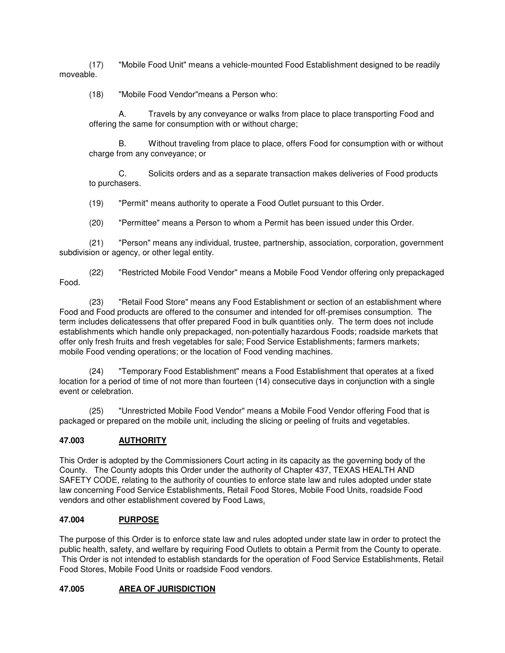(17) "Mobile Food Unit" means a vehicle-mounted Food Establishment designed to be readily moveable.

(18) "Mobile Food Vendor"means a Person who:

 A. Travels by any conveyance or walks from place to place transporting Food and offering the same for consumption with or without charge;

 B. Without traveling from place to place, offers Food for consumption with or without charge from any conveyance; or

 C. Solicits orders and as a separate transaction makes deliveries of Food products to purchasers.

(19) "Permit" means authority to operate a Food Outlet pursuant to this Order.

(20) "Permittee" means a Person to whom a Permit has been issued under this Order.

 (21) "Person" means any individual, trustee, partnership, association, corporation, government subdivision or agency, or other legal entity.

 (22) "Restricted Mobile Food Vendor" means a Mobile Food Vendor offering only prepackaged Food.

 (23) "Retail Food Store" means any Food Establishment or section of an establishment where Food and Food products are offered to the consumer and intended for off-premises consumption. The term includes delicatessens that offer prepared Food in bulk quantities only. The term does not include establishments which handle only prepackaged, non-potentially hazardous Foods; roadside markets that offer only fresh fruits and fresh vegetables for sale; Food Service Establishments; farmers markets; mobile Food vending operations; or the location of Food vending machines.

 (24) "Temporary Food Establishment" means a Food Establishment that operates at a fixed location for a period of time of not more than fourteen (14) consecutive days in conjunction with a single event or celebration.

 (25) "Unrestricted Mobile Food Vendor" means a Mobile Food Vendor offering Food that is packaged or prepared on the mobile unit, including the slicing or peeling of fruits and vegetables.

# **47.003 AUTHORITY**

This Order is adopted by the Commissioners Court acting in its capacity as the governing body of the County. The County adopts this Order under the authority of Chapter 437, TEXAS HEALTH AND SAFETY CODE, relating to the authority of counties to enforce state law and rules adopted under state law concerning Food Service Establishments, Retail Food Stores, Mobile Food Units, roadside Food vendors and other establishment covered by Food Laws.

## **47.004 PURPOSE**

The purpose of this Order is to enforce state law and rules adopted under state law in order to protect the public health, safety, and welfare by requiring Food Outlets to obtain a Permit from the County to operate. This Order is not intended to establish standards for the operation of Food Service Establishments, Retail Food Stores, Mobile Food Units or roadside Food vendors.

## **47.005 AREA OF JURISDICTION**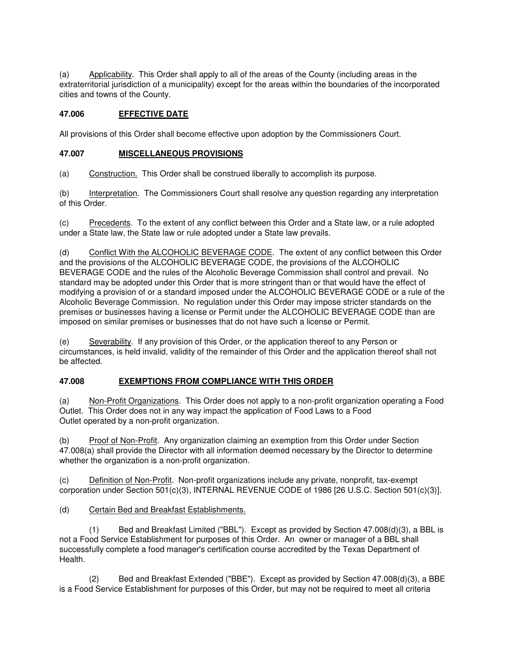(a) Applicability. This Order shall apply to all of the areas of the County (including areas in the extraterritorial jurisdiction of a municipality) except for the areas within the boundaries of the incorporated cities and towns of the County.

## **47.006 EFFECTIVE DATE**

All provisions of this Order shall become effective upon adoption by the Commissioners Court.

## **47.007 MISCELLANEOUS PROVISIONS**

(a) Construction. This Order shall be construed liberally to accomplish its purpose.

(b) Interpretation. The Commissioners Court shall resolve any question regarding any interpretation of this Order.

(c) Precedents. To the extent of any conflict between this Order and a State law, or a rule adopted under a State law, the State law or rule adopted under a State law prevails.

(d) Conflict With the ALCOHOLIC BEVERAGE CODE. The extent of any conflict between this Order and the provisions of the ALCOHOLIC BEVERAGE CODE, the provisions of the ALCOHOLIC BEVERAGE CODE and the rules of the Alcoholic Beverage Commission shall control and prevail. No standard may be adopted under this Order that is more stringent than or that would have the effect of modifying a provision of or a standard imposed under the ALCOHOLIC BEVERAGE CODE or a rule of the Alcoholic Beverage Commission. No regulation under this Order may impose stricter standards on the premises or businesses having a license or Permit under the ALCOHOLIC BEVERAGE CODE than are imposed on similar premises or businesses that do not have such a license or Permit.

(e) Severability. If any provision of this Order, or the application thereof to any Person or circumstances, is held invalid, validity of the remainder of this Order and the application thereof shall not be affected.

# **47.008 EXEMPTIONS FROM COMPLIANCE WITH THIS ORDER**

(a) Non-Profit Organizations. This Order does not apply to a non-profit organization operating a Food Outlet. This Order does not in any way impact the application of Food Laws to a Food Outlet operated by a non-profit organization.

(b) Proof of Non-Profit. Any organization claiming an exemption from this Order under Section 47.008(a) shall provide the Director with all information deemed necessary by the Director to determine whether the organization is a non-profit organization.

(c) Definition of Non-Profit. Non-profit organizations include any private, nonprofit, tax-exempt corporation under Section 501(c)(3), INTERNAL REVENUE CODE of 1986 [26 U.S.C. Section 501(c)(3)].

(d) Certain Bed and Breakfast Establishments.

 (1) Bed and Breakfast Limited ("BBL"). Except as provided by Section 47.008(d)(3), a BBL is not a Food Service Establishment for purposes of this Order. An owner or manager of a BBL shall successfully complete a food manager's certification course accredited by the Texas Department of Health.

 $(2)$  Bed and Breakfast Extended ("BBE"). Except as provided by Section 47.008(d)(3), a BBE is a Food Service Establishment for purposes of this Order, but may not be required to meet all criteria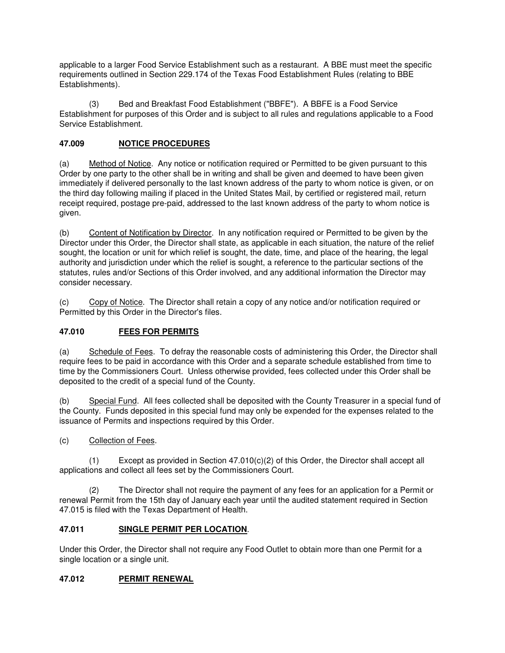applicable to a larger Food Service Establishment such as a restaurant. A BBE must meet the specific requirements outlined in Section 229.174 of the Texas Food Establishment Rules (relating to BBE Establishments).

 (3) Bed and Breakfast Food Establishment ("BBFE"). A BBFE is a Food Service Establishment for purposes of this Order and is subject to all rules and regulations applicable to a Food Service Establishment.

# **47.009 NOTICE PROCEDURES**

(a) Method of Notice. Any notice or notification required or Permitted to be given pursuant to this Order by one party to the other shall be in writing and shall be given and deemed to have been given immediately if delivered personally to the last known address of the party to whom notice is given, or on the third day following mailing if placed in the United States Mail, by certified or registered mail, return receipt required, postage pre-paid, addressed to the last known address of the party to whom notice is given.

(b) Content of Notification by Director. In any notification required or Permitted to be given by the Director under this Order, the Director shall state, as applicable in each situation, the nature of the relief sought, the location or unit for which relief is sought, the date, time, and place of the hearing, the legal authority and jurisdiction under which the relief is sought, a reference to the particular sections of the statutes, rules and/or Sections of this Order involved, and any additional information the Director may consider necessary.

(c) Copy of Notice. The Director shall retain a copy of any notice and/or notification required or Permitted by this Order in the Director's files.

# **47.010 FEES FOR PERMITS**

(a) Schedule of Fees. To defray the reasonable costs of administering this Order, the Director shall require fees to be paid in accordance with this Order and a separate schedule established from time to time by the Commissioners Court. Unless otherwise provided, fees collected under this Order shall be deposited to the credit of a special fund of the County.

(b) Special Fund. All fees collected shall be deposited with the County Treasurer in a special fund of the County. Funds deposited in this special fund may only be expended for the expenses related to the issuance of Permits and inspections required by this Order.

(c) Collection of Fees.

 (1) Except as provided in Section 47.010(c)(2) of this Order, the Director shall accept all applications and collect all fees set by the Commissioners Court.

 (2) The Director shall not require the payment of any fees for an application for a Permit or renewal Permit from the 15th day of January each year until the audited statement required in Section 47.015 is filed with the Texas Department of Health.

# **47.011 SINGLE PERMIT PER LOCATION**.

Under this Order, the Director shall not require any Food Outlet to obtain more than one Permit for a single location or a single unit.

# **47.012 PERMIT RENEWAL**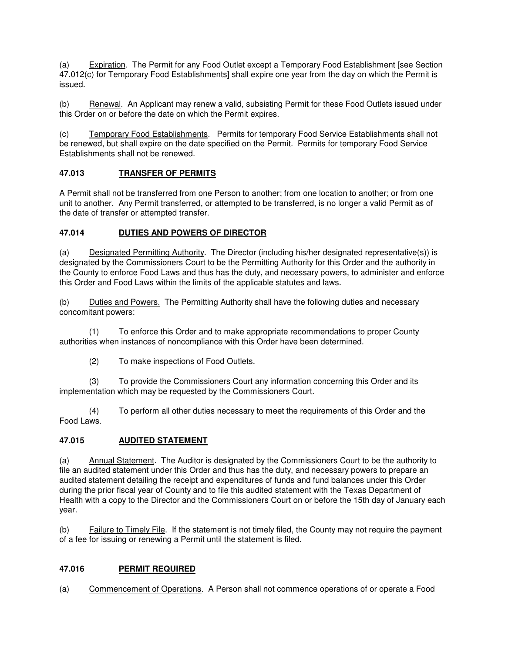(a) Expiration. The Permit for any Food Outlet except a Temporary Food Establishment [see Section 47.012(c) for Temporary Food Establishments] shall expire one year from the day on which the Permit is issued.

(b) Renewal. An Applicant may renew a valid, subsisting Permit for these Food Outlets issued under this Order on or before the date on which the Permit expires.

(c) Temporary Food Establishments. Permits for temporary Food Service Establishments shall not be renewed, but shall expire on the date specified on the Permit. Permits for temporary Food Service Establishments shall not be renewed.

## **47.013 TRANSFER OF PERMITS**

A Permit shall not be transferred from one Person to another; from one location to another; or from one unit to another. Any Permit transferred, or attempted to be transferred, is no longer a valid Permit as of the date of transfer or attempted transfer.

## **47.014 DUTIES AND POWERS OF DIRECTOR**

(a) Designated Permitting Authority. The Director (including his/her designated representative(s)) is designated by the Commissioners Court to be the Permitting Authority for this Order and the authority in the County to enforce Food Laws and thus has the duty, and necessary powers, to administer and enforce this Order and Food Laws within the limits of the applicable statutes and laws.

(b) Duties and Powers. The Permitting Authority shall have the following duties and necessary concomitant powers:

 (1) To enforce this Order and to make appropriate recommendations to proper County authorities when instances of noncompliance with this Order have been determined.

(2) To make inspections of Food Outlets.

 (3) To provide the Commissioners Court any information concerning this Order and its implementation which may be requested by the Commissioners Court.

 (4) To perform all other duties necessary to meet the requirements of this Order and the Food Laws.

## **47.015 AUDITED STATEMENT**

(a) Annual Statement. The Auditor is designated by the Commissioners Court to be the authority to file an audited statement under this Order and thus has the duty, and necessary powers to prepare an audited statement detailing the receipt and expenditures of funds and fund balances under this Order during the prior fiscal year of County and to file this audited statement with the Texas Department of Health with a copy to the Director and the Commissioners Court on or before the 15th day of January each year.

(b) Failure to Timely File. If the statement is not timely filed, the County may not require the payment of a fee for issuing or renewing a Permit until the statement is filed.

# **47.016 PERMIT REQUIRED**

(a) Commencement of Operations. A Person shall not commence operations of or operate a Food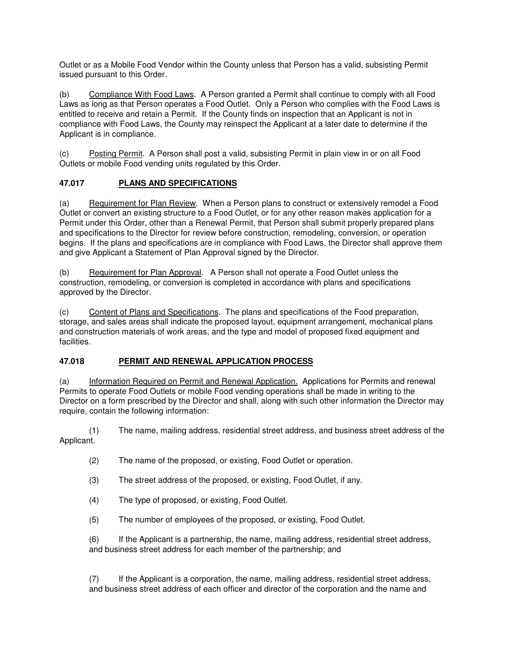Outlet or as a Mobile Food Vendor within the County unless that Person has a valid, subsisting Permit issued pursuant to this Order.

(b) Compliance With Food Laws. A Person granted a Permit shall continue to comply with all Food Laws as long as that Person operates a Food Outlet. Only a Person who complies with the Food Laws is entitled to receive and retain a Permit. If the County finds on inspection that an Applicant is not in compliance with Food Laws, the County may reinspect the Applicant at a later date to determine if the Applicant is in compliance.

(c) Posting Permit. A Person shall post a valid, subsisting Permit in plain view in or on all Food Outlets or mobile Food vending units regulated by this Order.

# **47.017 PLANS AND SPECIFICATIONS**

(a) Requirement for Plan Review. When a Person plans to construct or extensively remodel a Food Outlet or convert an existing structure to a Food Outlet, or for any other reason makes application for a Permit under this Order, other than a Renewal Permit, that Person shall submit properly prepared plans and specifications to the Director for review before construction, remodeling, conversion, or operation begins. If the plans and specifications are in compliance with Food Laws, the Director shall approve them and give Applicant a Statement of Plan Approval signed by the Director.

(b) Requirement for Plan Approval. A Person shall not operate a Food Outlet unless the construction, remodeling, or conversion is completed in accordance with plans and specifications approved by the Director.

(c) Content of Plans and Specifications. The plans and specifications of the Food preparation, storage, and sales areas shall indicate the proposed layout, equipment arrangement, mechanical plans and construction materials of work areas, and the type and model of proposed fixed equipment and facilities.

# **47.018 PERMIT AND RENEWAL APPLICATION PROCESS**

(a) Information Required on Permit and Renewal Application. Applications for Permits and renewal Permits to operate Food Outlets or mobile Food vending operations shall be made in writing to the Director on a form prescribed by the Director and shall, along with such other information the Director may require, contain the following information:

 (1) The name, mailing address, residential street address, and business street address of the Applicant.

- (2) The name of the proposed, or existing, Food Outlet or operation.
- (3) The street address of the proposed, or existing, Food Outlet, if any.
- (4) The type of proposed, or existing, Food Outlet.
- (5) The number of employees of the proposed, or existing, Food Outlet.

 (6) If the Applicant is a partnership, the name, mailing address, residential street address, and business street address for each member of the partnership; and

 (7) If the Applicant is a corporation, the name, mailing address, residential street address, and business street address of each officer and director of the corporation and the name and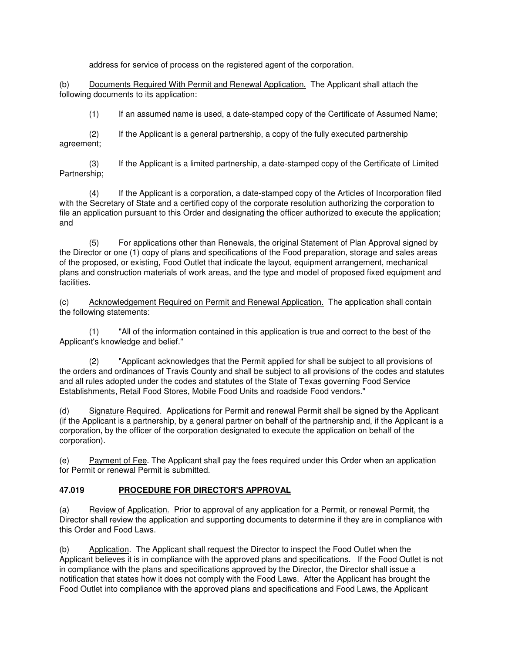address for service of process on the registered agent of the corporation.

(b) Documents Required With Permit and Renewal Application. The Applicant shall attach the following documents to its application:

(1) If an assumed name is used, a date-stamped copy of the Certificate of Assumed Name;

 (2) If the Applicant is a general partnership, a copy of the fully executed partnership agreement;

 (3) If the Applicant is a limited partnership, a date-stamped copy of the Certificate of Limited Partnership;

 (4) If the Applicant is a corporation, a date-stamped copy of the Articles of Incorporation filed with the Secretary of State and a certified copy of the corporate resolution authorizing the corporation to file an application pursuant to this Order and designating the officer authorized to execute the application; and

 (5) For applications other than Renewals, the original Statement of Plan Approval signed by the Director or one (1) copy of plans and specifications of the Food preparation, storage and sales areas of the proposed, or existing, Food Outlet that indicate the layout, equipment arrangement, mechanical plans and construction materials of work areas, and the type and model of proposed fixed equipment and facilities.

(c) Acknowledgement Required on Permit and Renewal Application. The application shall contain the following statements:

 (1) "All of the information contained in this application is true and correct to the best of the Applicant's knowledge and belief."

 (2) "Applicant acknowledges that the Permit applied for shall be subject to all provisions of the orders and ordinances of Travis County and shall be subject to all provisions of the codes and statutes and all rules adopted under the codes and statutes of the State of Texas governing Food Service Establishments, Retail Food Stores, Mobile Food Units and roadside Food vendors."

(d) Signature Required.Applications for Permit and renewal Permit shall be signed by the Applicant (if the Applicant is a partnership, by a general partner on behalf of the partnership and, if the Applicant is a corporation, by the officer of the corporation designated to execute the application on behalf of the corporation).

(e) Payment of Fee. The Applicant shall pay the fees required under this Order when an application for Permit or renewal Permit is submitted.

# **47.019 PROCEDURE FOR DIRECTOR'S APPROVAL**

(a) Review of Application. Prior to approval of any application for a Permit, or renewal Permit, the Director shall review the application and supporting documents to determine if they are in compliance with this Order and Food Laws.

(b) Application. The Applicant shall request the Director to inspect the Food Outlet when the Applicant believes it is in compliance with the approved plans and specifications. If the Food Outlet is not in compliance with the plans and specifications approved by the Director, the Director shall issue a notification that states how it does not comply with the Food Laws. After the Applicant has brought the Food Outlet into compliance with the approved plans and specifications and Food Laws, the Applicant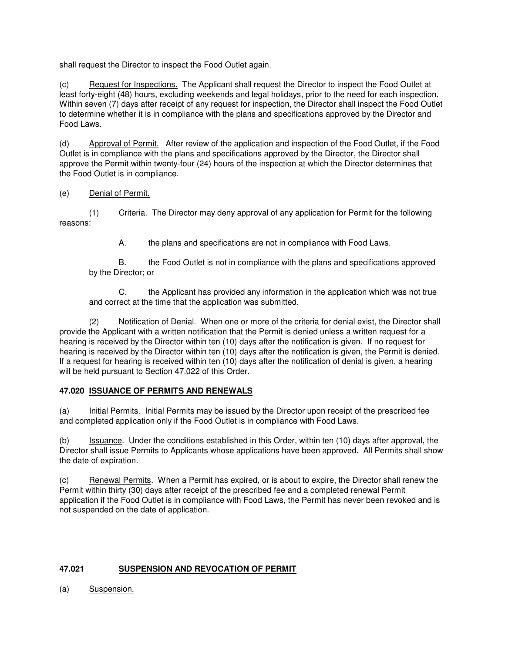shall request the Director to inspect the Food Outlet again.

(c) Request for Inspections. The Applicant shall request the Director to inspect the Food Outlet at least forty-eight (48) hours, excluding weekends and legal holidays, prior to the need for each inspection. Within seven (7) days after receipt of any request for inspection, the Director shall inspect the Food Outlet to determine whether it is in compliance with the plans and specifications approved by the Director and Food Laws.

(d) Approval of Permit. After review of the application and inspection of the Food Outlet, if the Food Outlet is in compliance with the plans and specifications approved by the Director, the Director shall approve the Permit within twenty-four (24) hours of the inspection at which the Director determines that the Food Outlet is in compliance.

(e) Denial of Permit.

 (1) Criteria. The Director may deny approval of any application for Permit for the following reasons:

A. the plans and specifications are not in compliance with Food Laws.

 B. the Food Outlet is not in compliance with the plans and specifications approved by the Director; or

 C. the Applicant has provided any information in the application which was not true and correct at the time that the application was submitted.

 (2) Notification of Denial. When one or more of the criteria for denial exist, the Director shall provide the Applicant with a written notification that the Permit is denied unless a written request for a hearing is received by the Director within ten (10) days after the notification is given. If no request for hearing is received by the Director within ten (10) days after the notification is given, the Permit is denied. If a request for hearing is received within ten (10) days after the notification of denial is given, a hearing will be held pursuant to Section 47.022 of this Order.

## **47.020 ISSUANCE OF PERMITS AND RENEWALS**

(a) Initial Permits. Initial Permits may be issued by the Director upon receipt of the prescribed fee and completed application only if the Food Outlet is in compliance with Food Laws.

(b) Issuance. Under the conditions established in this Order, within ten (10) days after approval, the Director shall issue Permits to Applicants whose applications have been approved. All Permits shall show the date of expiration.

(c) Renewal Permits. When a Permit has expired, or is about to expire, the Director shall renew the Permit within thirty (30) days after receipt of the prescribed fee and a completed renewal Permit application if the Food Outlet is in compliance with Food Laws, the Permit has never been revoked and is not suspended on the date of application.

# **47.021 SUSPENSION AND REVOCATION OF PERMIT**

(a) Suspension.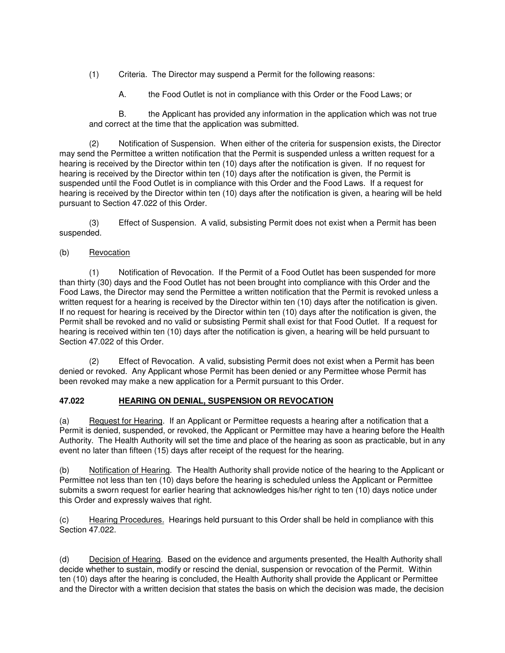(1) Criteria. The Director may suspend a Permit for the following reasons:

A. the Food Outlet is not in compliance with this Order or the Food Laws; or

 B. the Applicant has provided any information in the application which was not true and correct at the time that the application was submitted.

 (2) Notification of Suspension. When either of the criteria for suspension exists, the Director may send the Permittee a written notification that the Permit is suspended unless a written request for a hearing is received by the Director within ten (10) days after the notification is given. If no request for hearing is received by the Director within ten (10) days after the notification is given, the Permit is suspended until the Food Outlet is in compliance with this Order and the Food Laws. If a request for hearing is received by the Director within ten (10) days after the notification is given, a hearing will be held pursuant to Section 47.022 of this Order.

 (3) Effect of Suspension. A valid, subsisting Permit does not exist when a Permit has been suspended.

## (b) Revocation

 (1) Notification of Revocation. If the Permit of a Food Outlet has been suspended for more than thirty (30) days and the Food Outlet has not been brought into compliance with this Order and the Food Laws, the Director may send the Permittee a written notification that the Permit is revoked unless a written request for a hearing is received by the Director within ten (10) days after the notification is given. If no request for hearing is received by the Director within ten (10) days after the notification is given, the Permit shall be revoked and no valid or subsisting Permit shall exist for that Food Outlet. If a request for hearing is received within ten (10) days after the notification is given, a hearing will be held pursuant to Section 47.022 of this Order.

 (2) Effect of Revocation. A valid, subsisting Permit does not exist when a Permit has been denied or revoked. Any Applicant whose Permit has been denied or any Permittee whose Permit has been revoked may make a new application for a Permit pursuant to this Order.

# **47.022 HEARING ON DENIAL, SUSPENSION OR REVOCATION**

(a) Request for Hearing. If an Applicant or Permittee requests a hearing after a notification that a Permit is denied, suspended, or revoked, the Applicant or Permittee may have a hearing before the Health Authority. The Health Authority will set the time and place of the hearing as soon as practicable, but in any event no later than fifteen (15) days after receipt of the request for the hearing.

(b) Notification of Hearing. The Health Authority shall provide notice of the hearing to the Applicant or Permittee not less than ten (10) days before the hearing is scheduled unless the Applicant or Permittee submits a sworn request for earlier hearing that acknowledges his/her right to ten (10) days notice under this Order and expressly waives that right.

(c) Hearing Procedures. Hearings held pursuant to this Order shall be held in compliance with this Section 47.022.

(d) Decision of Hearing. Based on the evidence and arguments presented, the Health Authority shall decide whether to sustain, modify or rescind the denial, suspension or revocation of the Permit. Within ten (10) days after the hearing is concluded, the Health Authority shall provide the Applicant or Permittee and the Director with a written decision that states the basis on which the decision was made, the decision